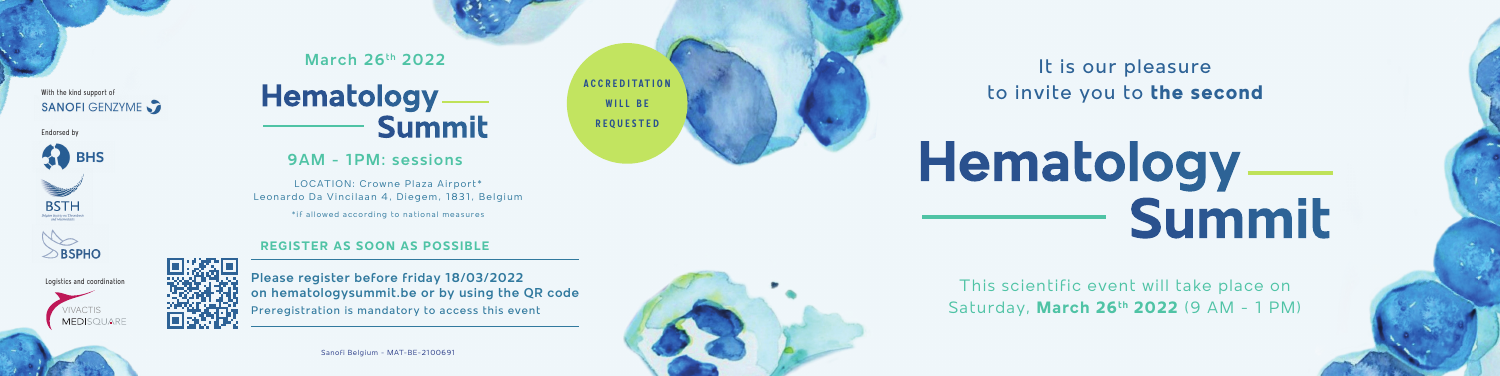Sanofi Belgium - MAT-BE-2100691



It is our pleasure to invite you to **the second**

This scientific event will take place on Saturday, **March 26th 2022** (9 AM - 1 PM)

# **Hematology Summit**

#### With the kind support of SANOFI GENZYME

Endorsed by







Logistics and coordination

**A C C R E D I TAT I O N WILL BE REQUESTED**

**March 26th 2022**

## **9AM - 1PM: sessions**

### **REGISTER AS SOON AS POSSIBLE**

**Please register before friday 18/03/2022 on hematologysummit.be or by using the QR code** Preregistration is mandatory to access this event

# **Hematology Summit**

LOCATION: Crowne Plaza Airport\* Leonardo Da Vincilaan 4, Diegem, 1831, Belgium

\*if allowed according to national measures